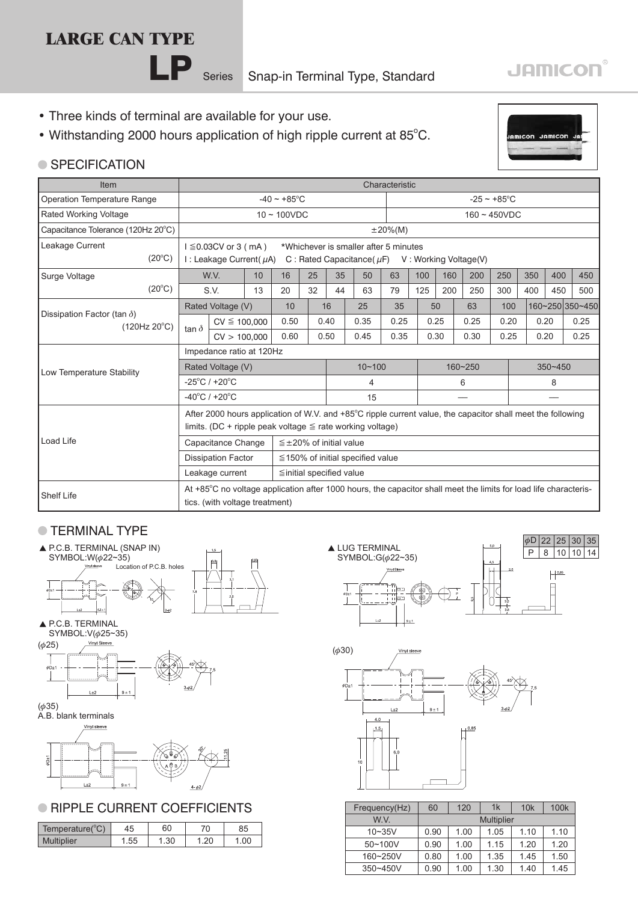# **LARGE CAN TYPE**

**LP** Series Snap-in Terminal Type, Standard

- Three kinds of terminal are available for your use.
- Withstanding 2000 hours application of high ripple current at 85°C.



**JAMICON®** 

### **SPECIFICATION**

| <b>Item</b>                                                 |                                                                                                                                                                                         | Characteristic                                                                                                                                                 |    |                                        |    |                                  |      |   |                          |             |      |      |      |             |      |                 |
|-------------------------------------------------------------|-----------------------------------------------------------------------------------------------------------------------------------------------------------------------------------------|----------------------------------------------------------------------------------------------------------------------------------------------------------------|----|----------------------------------------|----|----------------------------------|------|---|--------------------------|-------------|------|------|------|-------------|------|-----------------|
| Operation Temperature Range                                 |                                                                                                                                                                                         |                                                                                                                                                                |    | $-40 \sim +85^{\circ}$ C               |    |                                  |      |   | $-25 \sim +85^{\circ}$ C |             |      |      |      |             |      |                 |
| Rated Working Voltage                                       |                                                                                                                                                                                         |                                                                                                                                                                |    | $10 \sim 100$ VDC                      |    |                                  |      |   | $160 - 450VDC$           |             |      |      |      |             |      |                 |
| Capacitance Tolerance (120Hz 20°C)                          |                                                                                                                                                                                         | $±20\%(M)$                                                                                                                                                     |    |                                        |    |                                  |      |   |                          |             |      |      |      |             |      |                 |
| Leakage Current<br>$(20^{\circ}C)$                          |                                                                                                                                                                                         | $1 \leq 0.03CV$ or 3 (mA)<br>*Whichever is smaller after 5 minutes<br>I: Leakage Current( $\mu$ A)<br>C : Rated Capacitance ( $\mu$ F) V : Working Voltage (V) |    |                                        |    |                                  |      |   |                          |             |      |      |      |             |      |                 |
| Surge Voltage                                               |                                                                                                                                                                                         | W.V.                                                                                                                                                           | 10 | 16                                     | 25 | 35                               | 50   |   | 63                       | 100         | 160  | 200  | 250  | 350         | 400  | 450             |
| $(20^{\circ}C)$                                             |                                                                                                                                                                                         | S.V.                                                                                                                                                           | 13 | 20                                     | 32 | 44                               | 63   |   | 79                       | 125         | 200  | 250  | 300  | 400         | 450  | 500             |
|                                                             |                                                                                                                                                                                         | Rated Voltage (V)                                                                                                                                              |    | 10                                     |    | 16                               | 25   |   | 35                       |             | 50   | 63   | 100  |             |      | 160~250 350~450 |
| Dissipation Factor (tan $\delta$ )<br>$(120Hz 20^{\circ}C)$ |                                                                                                                                                                                         | $CV \leq 100,000$                                                                                                                                              |    | 0.50                                   |    | 0.40                             | 0.35 |   | 0.25                     |             | 0.25 | 0.25 | 0.20 |             | 0.20 | 0.25            |
|                                                             | tan $\delta$                                                                                                                                                                            | CV > 100,000                                                                                                                                                   |    | 0.60                                   |    | 0.50                             | 0.45 |   | 0.35                     |             | 0.30 | 0.30 | 0.25 |             | 0.20 | 0.25            |
|                                                             | Impedance ratio at 120Hz                                                                                                                                                                |                                                                                                                                                                |    |                                        |    |                                  |      |   |                          |             |      |      |      |             |      |                 |
| Low Temperature Stability                                   | Rated Voltage (V)                                                                                                                                                                       |                                                                                                                                                                |    |                                        |    | $10 - 100$                       |      |   |                          | $160 - 250$ |      |      |      | $350 - 450$ |      |                 |
|                                                             | $-25^{\circ}$ C / +20 $^{\circ}$ C                                                                                                                                                      |                                                                                                                                                                |    |                                        |    | 4                                |      | 6 |                          |             |      | 8    |      |             |      |                 |
|                                                             | $-40^{\circ}$ C / +20 $^{\circ}$ C                                                                                                                                                      |                                                                                                                                                                |    |                                        |    |                                  | 15   |   |                          |             |      |      |      |             |      |                 |
|                                                             | After 2000 hours application of W.V. and $+85^{\circ}$ C ripple current value, the capacitor shall meet the following<br>limits. (DC + ripple peak voltage $\leq$ rate working voltage) |                                                                                                                                                                |    |                                        |    |                                  |      |   |                          |             |      |      |      |             |      |                 |
| Load Life                                                   |                                                                                                                                                                                         | Capacitance Change                                                                                                                                             |    |                                        |    | $\leq \pm 20\%$ of initial value |      |   |                          |             |      |      |      |             |      |                 |
|                                                             |                                                                                                                                                                                         | <b>Dissipation Factor</b>                                                                                                                                      |    | $\leq$ 150% of initial specified value |    |                                  |      |   |                          |             |      |      |      |             |      |                 |
|                                                             |                                                                                                                                                                                         | Leakage current                                                                                                                                                |    | $\leq$ initial specified value         |    |                                  |      |   |                          |             |      |      |      |             |      |                 |
| Shelf Life                                                  |                                                                                                                                                                                         | At +85°C no voltage application after 1000 hours, the capacitor shall meet the limits for load life characteris-                                               |    |                                        |    |                                  |      |   |                          |             |      |      |      |             |      |                 |
|                                                             |                                                                                                                                                                                         | tics. (with voltage treatment)                                                                                                                                 |    |                                        |    |                                  |      |   |                          |             |      |      |      |             |      |                 |

# **TERMINAL TYPE**



#### A.B. blank terminals



## **RIPPLE CURRENT COEFFICIENTS**

| 10N<br>Temperature( | 15     | 60  | 70 | 85      |
|---------------------|--------|-----|----|---------|
| <b>Multiplier</b>   | ن ن. ا | ا ت |    | . .∪∪ ⊹ |





| Frequency(Hz) | 60                | 120  | 1k   | 10k  | 100 <sub>k</sub> |  |  |
|---------------|-------------------|------|------|------|------------------|--|--|
| W V           | <b>Multiplier</b> |      |      |      |                  |  |  |
| $10 - 35V$    | 0.90              | 1.00 | 1.05 | 1.10 | 1.10             |  |  |
| $50 - 100V$   | 0.90              | 1.00 | 1.15 | 1.20 | 1.20             |  |  |
| 160~250V      | 0.80              | 1.00 | 1.35 | 1.45 | 1.50             |  |  |
| $350 - 450V$  | 0.90              | 1.00 | 1.30 | 1.40 | 1.45             |  |  |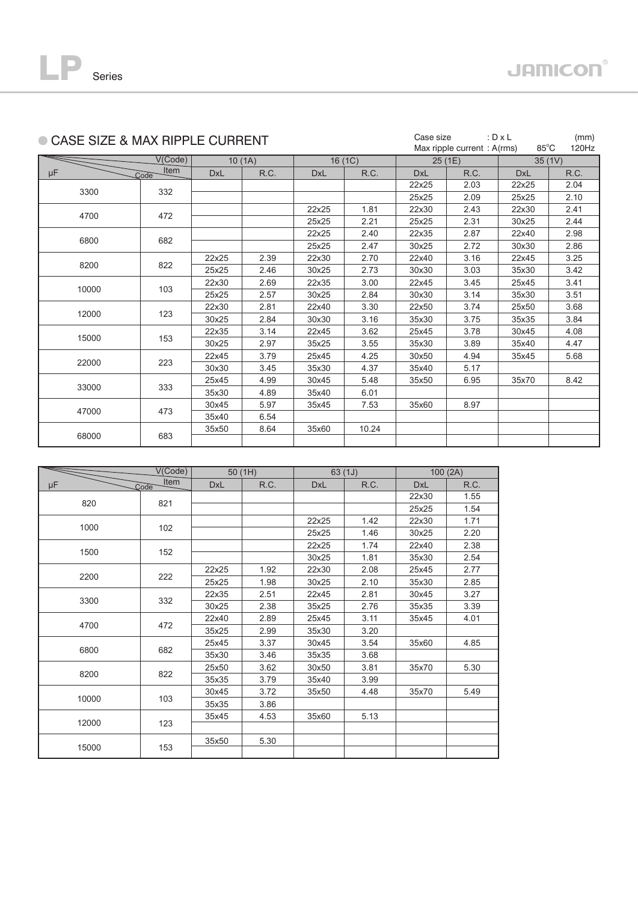

| CASE SIZE & MAX RIPPLE CURRENT |                           | Case size  | Max ripple current: A(rms) | : $D \times L$<br>$85^{\circ}$ C | (mm)<br>120Hz |            |        |            |        |
|--------------------------------|---------------------------|------------|----------------------------|----------------------------------|---------------|------------|--------|------------|--------|
|                                | V(Code)                   |            | 10(1A)                     |                                  | 16(1C)        |            | 25(1E) |            | 35(1V) |
| μF                             | Item<br>$\mathcal{L}$ ode | <b>DxL</b> | R.C.                       | <b>DxL</b>                       | R.C.          | <b>DxL</b> | R.C.   | <b>DxL</b> | R.C.   |
| 3300                           | 332                       |            |                            |                                  |               | 22x25      | 2.03   | 22x25      | 2.04   |
|                                |                           |            |                            |                                  |               | 25x25      | 2.09   | 25x25      | 2.10   |
|                                |                           |            |                            | 22x25                            | 1.81          | 22x30      | 2.43   | 22x30      | 2.41   |
| 4700                           | 472                       |            |                            | 25x25                            | 2.21          | 25x25      | 2.31   | 30x25      | 2.44   |
|                                |                           |            |                            | 22x25                            | 2.40          | 22x35      | 2.87   | 22x40      | 2.98   |
| 6800                           | 682                       |            |                            | 25x25                            | 2.47          | 30x25      | 2.72   | 30x30      | 2.86   |
|                                |                           | 22x25      | 2.39                       | 22x30                            | 2.70          | 22x40      | 3.16   | 22x45      | 3.25   |
| 8200                           | 822                       | 25x25      | 2.46                       | 30x25                            | 2.73          | 30x30      | 3.03   | 35x30      | 3.42   |
|                                |                           | 22x30      | 2.69                       | 22x35                            | 3.00          | 22x45      | 3.45   | 25x45      | 3.41   |
| 10000<br>103                   |                           | 25x25      | 2.57                       | 30x25                            | 2.84          | 30x30      | 3.14   | 35x30      | 3.51   |
|                                |                           | 22x30      | 2.81                       | 22x40                            | 3.30          | 22x50      | 3.74   | 25x50      | 3.68   |
| 12000                          | 123                       | 30x25      | 2.84                       | 30x30                            | 3.16          | 35x30      | 3.75   | 35x35      | 3.84   |
|                                |                           | 22x35      | 3.14                       | 22x45                            | 3.62          | 25x45      | 3.78   | 30x45      | 4.08   |
| 15000                          | 153                       | 30x25      | 2.97                       | 35x25                            | 3.55          | 35x30      | 3.89   | 35x40      | 4.47   |
|                                |                           | 22x45      | 3.79                       | 25x45                            | 4.25          | 30x50      | 4.94   | 35x45      | 5.68   |
| 22000                          | 223                       | 30x30      | 3.45                       | 35x30                            | 4.37          | 35x40      | 5.17   |            |        |
|                                |                           | 25x45      | 4.99                       | 30x45                            | 5.48          | 35x50      | 6.95   | 35x70      | 8.42   |
| 33000                          | 333                       | 35x30      | 4.89                       | 35x40                            | 6.01          |            |        |            |        |
|                                |                           | 30x45      | 5.97                       | 35x45                            | 7.53          | 35x60      | 8.97   |            |        |
| 47000                          | 473                       | 35x40      | 6.54                       |                                  |               |            |        |            |        |
|                                |                           | 35x50      | 8.64                       | 35x60                            | 10.24         |            |        |            |        |
| 68000                          | 683                       |            |                            |                                  |               |            |        |            |        |

|       | V(Code)             |            | 50(1H) |            | 63(1J) | 100(2A)    |      |  |
|-------|---------------------|------------|--------|------------|--------|------------|------|--|
| μF    | <b>Item</b><br>Code | <b>DxL</b> | R.C.   | <b>DxL</b> | R.C.   | <b>DxL</b> | R.C. |  |
| 820   | 821                 |            |        |            |        | 22x30      | 1.55 |  |
|       |                     |            |        |            |        | 25x25      | 1.54 |  |
|       |                     |            |        | 22x25      | 1.42   | 22x30      | 1.71 |  |
| 1000  | 102                 |            |        | 25x25      | 1.46   | 30x25      | 2.20 |  |
|       |                     |            |        | 22x25      | 1.74   | 22x40      | 2.38 |  |
| 1500  | 152                 |            |        | 30x25      | 1.81   | 35x30      | 2.54 |  |
|       |                     | 22x25      | 1.92   | 22x30      | 2.08   | 25x45      | 2.77 |  |
| 2200  | 222                 | 25x25      | 1.98   | 30x25      | 2.10   | 35x30      | 2.85 |  |
|       | 332                 | 22x35      | 2.51   | 22x45      | 2.81   | 30x45      | 3.27 |  |
| 3300  |                     | 30x25      | 2.38   | 35x25      | 2.76   | 35x35      | 3.39 |  |
|       | 472                 | 22x40      | 2.89   | 25x45      | 3.11   | 35x45      | 4.01 |  |
| 4700  |                     | 35x25      | 2.99   | 35x30      | 3.20   |            |      |  |
|       |                     | 25x45      | 3.37   | 30x45      | 3.54   | 35x60      | 4.85 |  |
| 6800  | 682                 | 35x30      | 3.46   | 35x35      | 3.68   |            |      |  |
|       |                     | 25x50      | 3.62   | 30x50      | 3.81   | 35x70      | 5.30 |  |
| 8200  | 822                 | 35x35      | 3.79   | 35x40      | 3.99   |            |      |  |
|       |                     | 30x45      | 3.72   | 35x50      | 4.48   | 35x70      | 5.49 |  |
| 10000 | 103                 | 35x35      | 3.86   |            |        |            |      |  |
|       |                     | 35x45      | 4.53   | 35x60      | 5.13   |            |      |  |
| 12000 | 123                 |            |        |            |        |            |      |  |
|       |                     | 35x50      | 5.30   |            |        |            |      |  |
| 15000 | 153                 |            |        |            |        |            |      |  |